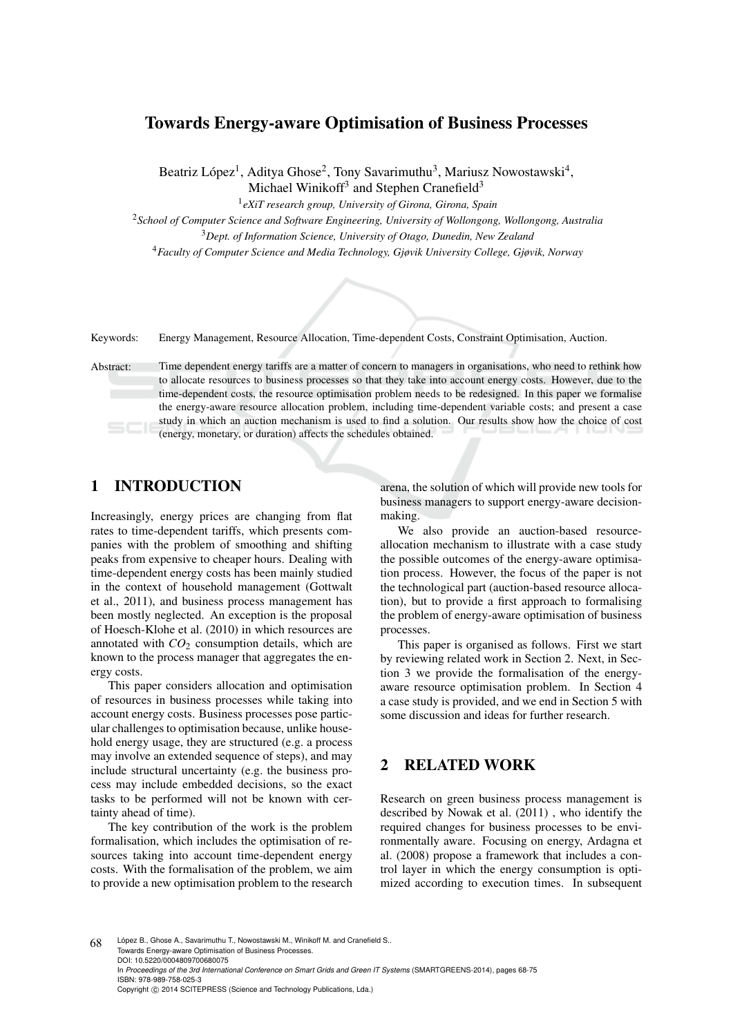# Towards Energy-aware Optimisation of Business Processes

Beatriz López<sup>1</sup>, Aditya Ghose<sup>2</sup>, Tony Savarimuthu<sup>3</sup>, Mariusz Nowostawski<sup>4</sup>, Michael Winikoff<sup>3</sup> and Stephen Cranefield<sup>3</sup>

1 *eXiT research group, University of Girona, Girona, Spain*

<sup>2</sup>*School of Computer Science and Software Engineering, University of Wollongong, Wollongong, Australia* <sup>3</sup>*Dept. of Information Science, University of Otago, Dunedin, New Zealand*

<sup>4</sup>*Faculty of Computer Science and Media Technology, Gjøvik University College, Gjøvik, Norway*

Keywords: Energy Management, Resource Allocation, Time-dependent Costs, Constraint Optimisation, Auction.

Abstract: Time dependent energy tariffs are a matter of concern to managers in organisations, who need to rethink how to allocate resources to business processes so that they take into account energy costs. However, due to the time-dependent costs, the resource optimisation problem needs to be redesigned. In this paper we formalise the energy-aware resource allocation problem, including time-dependent variable costs; and present a case study in which an auction mechanism is used to find a solution. Our results show how the choice of cost (energy, monetary, or duration) affects the schedules obtained.

# 1 INTRODUCTION

Increasingly, energy prices are changing from flat rates to time-dependent tariffs, which presents companies with the problem of smoothing and shifting peaks from expensive to cheaper hours. Dealing with time-dependent energy costs has been mainly studied in the context of household management (Gottwalt et al., 2011), and business process management has been mostly neglected. An exception is the proposal of Hoesch-Klohe et al. (2010) in which resources are annotated with  $CO<sub>2</sub>$  consumption details, which are known to the process manager that aggregates the energy costs.

This paper considers allocation and optimisation of resources in business processes while taking into account energy costs. Business processes pose particular challenges to optimisation because, unlike household energy usage, they are structured (e.g. a process may involve an extended sequence of steps), and may include structural uncertainty (e.g. the business process may include embedded decisions, so the exact tasks to be performed will not be known with certainty ahead of time).

The key contribution of the work is the problem formalisation, which includes the optimisation of resources taking into account time-dependent energy costs. With the formalisation of the problem, we aim to provide a new optimisation problem to the research

arena, the solution of which will provide new tools for business managers to support energy-aware decisionmaking.

We also provide an auction-based resourceallocation mechanism to illustrate with a case study the possible outcomes of the energy-aware optimisation process. However, the focus of the paper is not the technological part (auction-based resource allocation), but to provide a first approach to formalising the problem of energy-aware optimisation of business processes.

This paper is organised as follows. First we start by reviewing related work in Section 2. Next, in Section 3 we provide the formalisation of the energyaware resource optimisation problem. In Section 4 a case study is provided, and we end in Section 5 with some discussion and ideas for further research.

## 2 RELATED WORK

Research on green business process management is described by Nowak et al. (2011) , who identify the required changes for business processes to be environmentally aware. Focusing on energy, Ardagna et al. (2008) propose a framework that includes a control layer in which the energy consumption is optimized according to execution times. In subsequent

68 López B., Ghose A., Savarimuthu T., Nowostawski M., Winikoff M. and Cranefield S. Towards Energy-aware Optimisation of Business Processes. DOI: 10.5220/0004809700680075 In *Proceedings of the 3rd International Conference on Smart Grids and Green IT Systems* (SMARTGREENS-2014), pages 68-75 ISBN: 978-989-758-025-3 Copyright (C) 2014 SCITEPRESS (Science and Technology Publications, Lda.)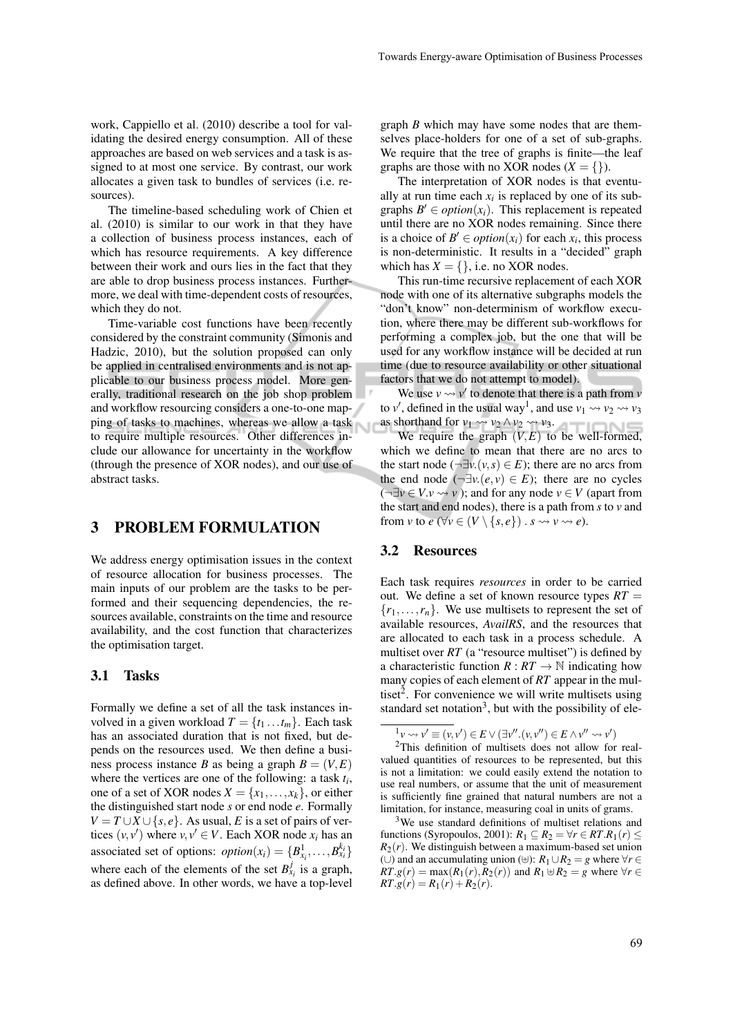work, Cappiello et al. (2010) describe a tool for validating the desired energy consumption. All of these approaches are based on web services and a task is assigned to at most one service. By contrast, our work allocates a given task to bundles of services (i.e. resources).

The timeline-based scheduling work of Chien et al. (2010) is similar to our work in that they have a collection of business process instances, each of which has resource requirements. A key difference between their work and ours lies in the fact that they are able to drop business process instances. Furthermore, we deal with time-dependent costs of resources, which they do not.

Time-variable cost functions have been recently considered by the constraint community (Simonis and Hadzic, 2010), but the solution proposed can only be applied in centralised environments and is not applicable to our business process model. More generally, traditional research on the job shop problem and workflow resourcing considers a one-to-one mapping of tasks to machines, whereas we allow a task to require multiple resources. Other differences include our allowance for uncertainty in the workflow (through the presence of XOR nodes), and our use of abstract tasks.

### 3 PROBLEM FORMULATION

We address energy optimisation issues in the context of resource allocation for business processes. The main inputs of our problem are the tasks to be performed and their sequencing dependencies, the resources available, constraints on the time and resource availability, and the cost function that characterizes the optimisation target.

#### 3.1 Tasks

Formally we define a set of all the task instances involved in a given workload  $T = \{t_1 \dots t_m\}$ . Each task has an associated duration that is not fixed, but depends on the resources used. We then define a business process instance *B* as being a graph  $B = (V, E)$ where the vertices are one of the following: a task *t<sup>i</sup>* , one of a set of XOR nodes  $X = \{x_1, \ldots, x_k\}$ , or either the distinguished start node *s* or end node *e*. Formally  $V = T \cup X \cup \{s, e\}$ . As usual, *E* is a set of pairs of vertices  $(v, v')$  where  $v, v' \in V$ . Each XOR node  $x_i$  has an associated set of options:  $option(x_i) = {B_{x_i}^1, \ldots, B_{x_i}^{k_i}}$ where each of the elements of the set  $B_{x_i}^j$  is a graph, as defined above. In other words, we have a top-level

graph *B* which may have some nodes that are themselves place-holders for one of a set of sub-graphs. We require that the tree of graphs is finite—the leaf graphs are those with no XOR nodes  $(X = \{\})$ .

The interpretation of XOR nodes is that eventually at run time each  $x_i$  is replaced by one of its subgraphs  $B' \in option(x_i)$ . This replacement is repeated until there are no XOR nodes remaining. Since there is a choice of  $B' \in option(x_i)$  for each  $x_i$ , this process is non-deterministic. It results in a "decided" graph which has  $X = \{\}$ , i.e. no XOR nodes.

This run-time recursive replacement of each XOR node with one of its alternative subgraphs models the "don't know" non-determinism of workflow execution, where there may be different sub-workflows for performing a complex job, but the one that will be used for any workflow instance will be decided at run time (due to resource availability or other situational factors that we do not attempt to model).

We use  $v \leftrightarrow v'$  to denote that there is a path from *v* to  $v'$ , defined in the usual way<sup>1</sup>, and use  $v_1 \rightarrow v_2 \rightarrow v_3$ as shorthand for  $v_1 \rightsquigarrow v_2 \land v_2 \rightsquigarrow v_3$ .

We require the graph  $(V, E)$  to be well-formed, which we define to mean that there are no arcs to the start node ( $\neg \exists v. (v, s) \in E$ ); there are no arcs from the end node  $(\neg \exists v \cdot (e, v) \in E)$ ; there are no cycles  $(\neg \exists v \in V \lor \neg v)$ ; and for any node  $v \in V$  (apart from the start and end nodes), there is a path from *s* to *v* and from *v* to  $e$  ( $\forall v \in (V \setminus \{s, e\})$ ).  $s \rightsquigarrow v \rightsquigarrow e$ ).

## 3.2 Resources

Each task requires *resources* in order to be carried out. We define a set of known resource types  $RT =$  ${r_1, \ldots, r_n}$ . We use multisets to represent the set of available resources, *AvailRS*, and the resources that are allocated to each task in a process schedule. A multiset over *RT* (a "resource multiset") is defined by a characteristic function  $R: RT \to \mathbb{N}$  indicating how many copies of each element of *RT* appear in the multiset<sup>2</sup>. For convenience we will write multisets using standard set notation<sup>3</sup>, but with the possibility of ele-

 ${}^{1}v \rightsquigarrow v' \equiv (v, v') \in E \vee (\exists v'' \ldotp (v, v'') \in E \wedge v'' \leadsto v')$ 

<sup>2</sup>This definition of multisets does not allow for realvalued quantities of resources to be represented, but this is not a limitation: we could easily extend the notation to use real numbers, or assume that the unit of measurement is sufficiently fine grained that natural numbers are not a limitation, for instance, measuring coal in units of grams.

<sup>&</sup>lt;sup>3</sup>We use standard definitions of multiset relations and functions (Syropoulos, 2001):  $R_1 \subseteq R_2 = \forall r \in RT.R_1(r) \leq$  $R_2(r)$ . We distinguish between a maximum-based set union (∪) and an accumulating union (⊎):  $R_1 \cup R_2 = g$  where  $\forall r \in$  $RT.g(r) = max(R_1(r), R_2(r))$  and  $R_1 \oplus R_2 = g$  where  $\forall r \in R$  $RT \nvert g(r) = R_1(r) + R_2(r).$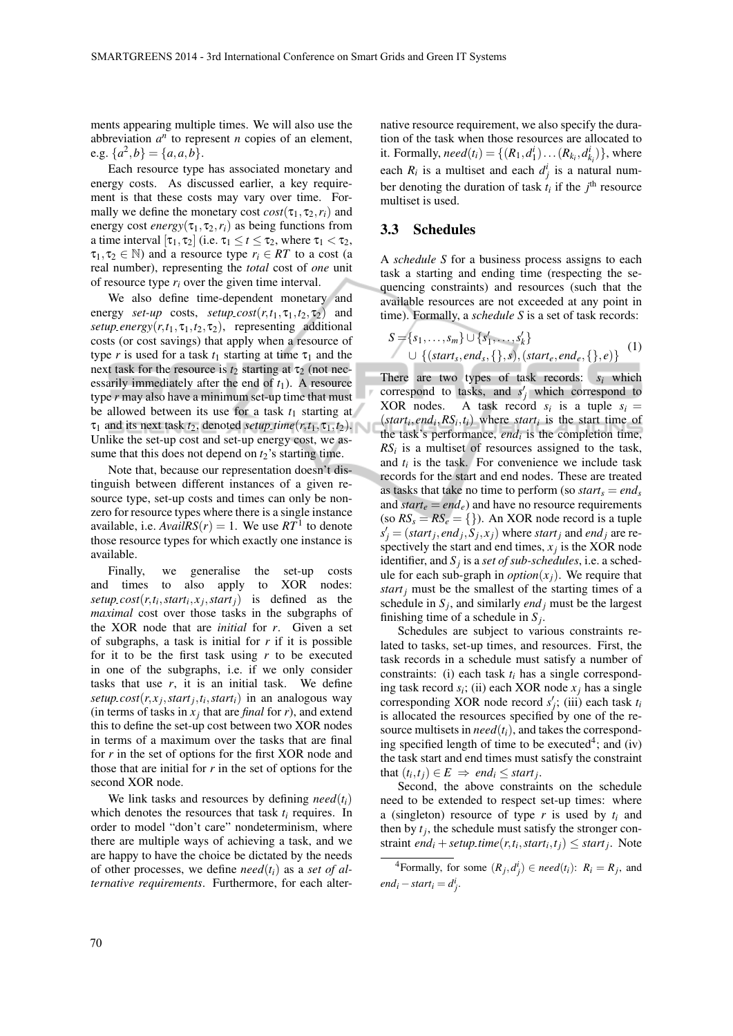ments appearing multiple times. We will also use the abbreviation  $a^n$  to represent *n* copies of an element, e.g.  $\{a^2, b\} = \{a, a, b\}.$ 

Each resource type has associated monetary and energy costs. As discussed earlier, a key requirement is that these costs may vary over time. Formally we define the monetary cost  $cost(\tau_1, \tau_2, r_i)$  and energy cost *energy*( $\tau_1$ , $\tau_2$ , $r_i$ ) as being functions from a time interval  $[\tau_1, \tau_2]$  (i.e.  $\tau_1 \le t \le \tau_2$ , where  $\tau_1 < \tau_2$ ,  $\tau_1, \tau_2 \in \mathbb{N}$ ) and a resource type  $r_i \in RT$  to a cost (a real number), representing the *total* cost of *one* unit of resource type  $r_i$  over the given time interval.

We also define time-dependent monetary and energy *set-up* costs, *setup\_cost*( $r$ , $t$ <sub>1</sub>, $t$ <sub>2</sub>, $\tau$ <sub>2</sub>) and  $setup\text{-}energy(r, t_1, \tau_1, t_2, \tau_2)$ , representing additional costs (or cost savings) that apply when a resource of type *r* is used for a task  $t_1$  starting at time  $\tau_1$  and the next task for the resource is  $t_2$  starting at  $\tau_2$  (not necessarily immediately after the end of  $t_1$ ). A resource type *r* may also have a minimum set-up time that must be allowed between its use for a task  $t_1$  starting at  $\tau_1$  and its next task  $t_2$ , denoted *setup time*( $r, t_1, \tau_1, t_2$ ). Unlike the set-up cost and set-up energy cost, we assume that this does not depend on  $t_2$ 's starting time.

Note that, because our representation doesn't distinguish between different instances of a given resource type, set-up costs and times can only be nonzero for resource types where there is a single instance available, i.e.  $AvailRS(r) = 1$ . We use  $RT<sup>1</sup>$  to denote those resource types for which exactly one instance is available.

Finally, we generalise the set-up costs and times to also apply to XOR nodes: setup  $cost(r, t_i, start_i, x_j, start_j)$  is defined as the *maximal* cost over those tasks in the subgraphs of the XOR node that are *initial* for *r*. Given a set of subgraphs, a task is initial for *r* if it is possible for it to be the first task using *r* to be executed in one of the subgraphs, i.e. if we only consider tasks that use  $r$ , it is an initial task. We define *setup*<sub>*cost*( $r$ , $x$ <sub>*j*</sub>, $star$ *j*, $t$ *i*, $star$ *i*<sub>j</sub>) in an analogous way</sub> (in terms of tasks in  $x_j$  that are *final* for *r*), and extend this to define the set-up cost between two XOR nodes in terms of a maximum over the tasks that are final for *r* in the set of options for the first XOR node and those that are initial for *r* in the set of options for the second XOR node.

We link tasks and resources by defining  $need(t_i)$ which denotes the resources that task *t<sup>i</sup>* requires. In order to model "don't care" nondeterminism, where there are multiple ways of achieving a task, and we are happy to have the choice be dictated by the needs of other processes, we define  $need(t_i)$  as a *set of alternative requirements*. Furthermore, for each alternative resource requirement, we also specify the duration of the task when those resources are allocated to it. Formally,  $need(t_i) = \{(R_1, d_1^i) \dots (R_{k_i}, d_{k_i}^i)\}$ , where each  $R_i$  is a multiset and each  $d_j^i$  is a natural number denoting the duration of task  $t_i$  if the  $j^{\text{th}}$  resource multiset is used.

## 3.3 Schedules

A *schedule S* for a business process assigns to each task a starting and ending time (respecting the sequencing constraints) and resources (such that the available resources are not exceeded at any point in time). Formally, a *schedule S* is a set of task records:

$$
S = \{s_1, \ldots, s_m\} \cup \{s'_1, \ldots, s'_k\} \cup \{(start_s, end_s, \{\}, s), (start_e, end_e, \{\}, e)\}\
$$
(1)

There are two types of task records: *s<sup>i</sup>* which correspond to tasks, and  $s'_j$  which correspond to XOR nodes. A task record  $s_i$  is a tuple  $s_i =$  $(s*tant<sub>i</sub>*,*end<sub>i</sub>*,*RS<sub>i</sub>*,*t<sub>i</sub>*)$  where *start<sub>i</sub>* is the start time of the task's performance, *end<sup>i</sup>* is the completion time,  $RS<sub>i</sub>$  is a multiset of resources assigned to the task, and  $t_i$  is the task. For convenience we include task records for the start and end nodes. These are treated as tasks that take no time to perform (so  $start_s = end_s$ and  $start_e = end_e$ ) and have no resource requirements (so  $RS_s = RS_e = \{\}\)$ ). An XOR node record is a tuple  $s'$ <sup>*j*</sup> = (*start<sub>j</sub>*, *end<sub>j</sub>*,  $\tilde{S}_j$ ,  $x_j$ ) where *start<sub>j</sub>* and *end<sub>j</sub>* are respectively the start and end times,  $x_j$  is the XOR node identifier, and *S<sup>j</sup>* is a *set of sub-schedules*, i.e. a schedule for each sub-graph in  $option(x_i)$ . We require that *start<sup>j</sup>* must be the smallest of the starting times of a schedule in  $S_j$ , and similarly *end<sub>j</sub>* must be the largest finishing time of a schedule in  $S_j$ .

Schedules are subject to various constraints related to tasks, set-up times, and resources. First, the task records in a schedule must satisfy a number of constraints: (i) each task *t<sup>i</sup>* has a single corresponding task record  $s_i$ ; (ii) each XOR node  $x_j$  has a single corresponding XOR node record  $s'_{j}$ ; (iii) each task  $t_i$ is allocated the resources specified by one of the resource multisets in  $need(t_i)$ , and takes the corresponding specified length of time to be executed<sup>4</sup>; and  $(iv)$ the task start and end times must satisfy the constraint that  $(t_i, t_j) \in E \implies end_i \leq start_j$ .

Second, the above constraints on the schedule need to be extended to respect set-up times: where a (singleton) resource of type *r* is used by *t<sup>i</sup>* and then by  $t_j$ , the schedule must satisfy the stronger constraint *end*<sub>*i*</sub> + *setup\_time*( $r$ , $t$ *i*, *start*<sub>*i*</sub>, $t$ *j*)  $\leq$  *startj*. Note

<sup>&</sup>lt;sup>4</sup> Formally, for some  $(R_j, d_j^i) \in \text{need}(t_i)$ :  $R_i = R_j$ , and  $end_i - start_i = d^i_j$ .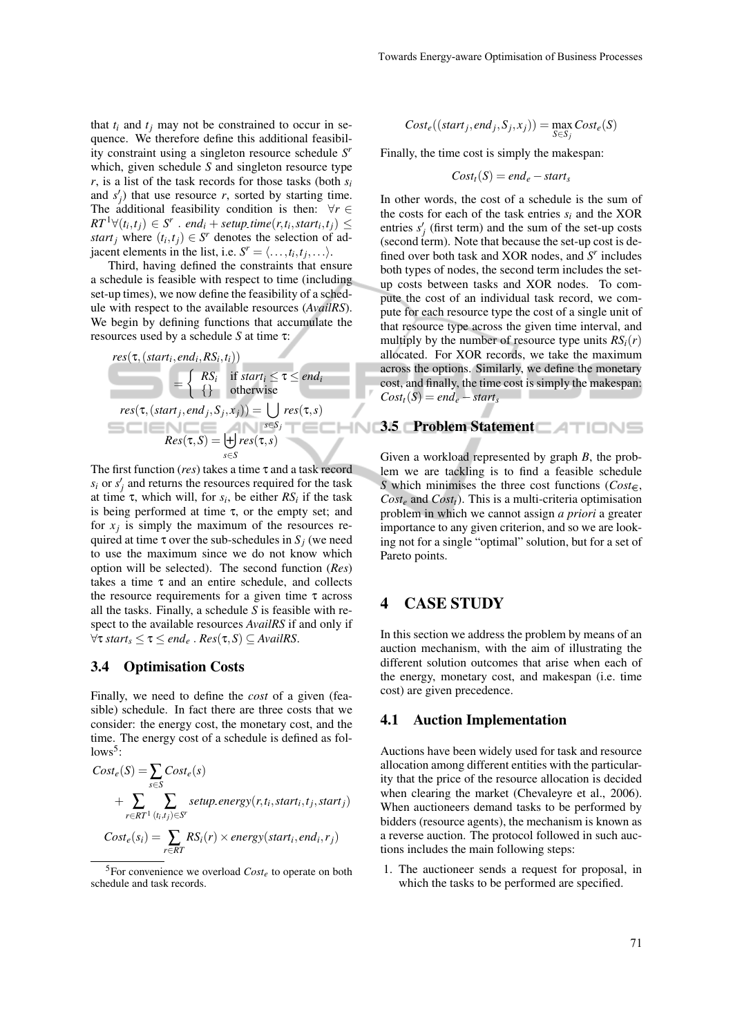that  $t_i$  and  $t_j$  may not be constrained to occur in sequence. We therefore define this additional feasibility constraint using a singleton resource schedule *S r* which, given schedule *S* and singleton resource type  $r$ , is a list of the task records for those tasks (both  $s_i$ ) and  $s'_{j}$ ) that use resource *r*, sorted by starting time. The additional feasibility condition is then:  $\forall r \in$  $RT^1 \forall (t_i, t_j) \in S^r$  . *end*<sub>*i*</sub> + *setup\_time* $(r, t_i, start_i, t_j) \leq$ *start*<sub>*j*</sub> where  $(t_i, t_j) \in S^r$  denotes the selection of adjacent elements in the list, i.e.  $S^r = \langle \dots, t_i, t_j, \dots \rangle$ .

Third, having defined the constraints that ensure a schedule is feasible with respect to time (including set-up times), we now define the feasibility of a schedule with respect to the available resources (*AvailRS*). We begin by defining functions that accumulate the resources used by a schedule *S* at time τ:

$$
res(\tau, (start_i, end_i, RS_i, t_i))
$$
\n
$$
= \begin{cases}\nRS_i & \text{if start}_i \leq \tau \leq end_i \\
\{\} & \text{otherwise}\n\end{cases}
$$
\n
$$
res(\tau, (start_j, end_j, S_j, x_j)) = \bigcup_{s \in S_j} res(\tau, s)
$$
\n
$$
Res(\tau, S) = \biguplus_{s \in S} res(\tau, s)
$$

The first function (*res*) takes a time τ and a task record  $s_i$  or  $s'_j$  and returns the resources required for the task at time  $\tau$ , which will, for  $s_i$ , be either  $RS_i$  if the task is being performed at time  $\tau$ , or the empty set; and for  $x_j$  is simply the maximum of the resources required at time  $\tau$  over the sub-schedules in  $S_i$  (we need to use the maximum since we do not know which option will be selected). The second function (*Res*) takes a time  $\tau$  and an entire schedule, and collects the resource requirements for a given time  $\tau$  across all the tasks. Finally, a schedule *S* is feasible with respect to the available resources *AvailRS* if and only if  $\forall \tau \, \text{start}_{\mathcal{S}} \leq \tau \leq \text{end}_{e}$ .  $\text{Res}(\tau, S) \subseteq \text{AvailableS}.$ 

#### 3.4 Optimisation Costs

Finally, we need to define the *cost* of a given (feasible) schedule. In fact there are three costs that we consider: the energy cost, the monetary cost, and the time. The energy cost of a schedule is defined as fol $lows<sup>5</sup>$ :

$$
Cost_e(S) = \sum_{s \in S} Cost_e(s)
$$
  
+ 
$$
\sum_{r \in RT^1} \sum_{(t_i, t_j) \in S^r} setup_{energy(r, t_i, start_i, t_j, start_j)}
$$
  

$$
Cost_e(s_i) = \sum_{r \in RT} RS_i(r) \times energy(start_i, end_i, r_j)
$$

<sup>5</sup>For convenience we overload *Cost<sup>e</sup>* to operate on both schedule and task records.

$$
Cost_e((start_j, end_j, S_j, x_j)) = \max_{S \in S_i} Cost_e(S)
$$

Finally, the time cost is simply the makespan:

$$
Cost_t(S) = end_e - start_s
$$

In other words, the cost of a schedule is the sum of the costs for each of the task entries *s<sup>i</sup>* and the XOR entries  $s'_{j}$  (first term) and the sum of the set-up costs (second term). Note that because the set-up cost is defined over both task and XOR nodes, and *S r* includes both types of nodes, the second term includes the setup costs between tasks and XOR nodes. To compute the cost of an individual task record, we compute for each resource type the cost of a single unit of that resource type across the given time interval, and multiply by the number of resource type units  $RS<sub>i</sub>(r)$ allocated. For XOR records, we take the maximum across the options. Similarly, we define the monetary cost, and finally, the time cost is simply the makespan:  $Cost<sub>t</sub>(S) = end<sub>e</sub> - start<sub>s</sub>$ 

## 3.5 Problem Statement

Given a workload represented by graph *B*, the problem we are tackling is to find a feasible schedule *S* which minimises the three cost functions ( $Cost \in$ , *Cost<sup>e</sup>* and *Costt*). This is a multi-criteria optimisation problem in which we cannot assign *a priori* a greater importance to any given criterion, and so we are looking not for a single "optimal" solution, but for a set of Pareto points.

## 4 CASE STUDY

In this section we address the problem by means of an auction mechanism, with the aim of illustrating the different solution outcomes that arise when each of the energy, monetary cost, and makespan (i.e. time cost) are given precedence.

#### 4.1 Auction Implementation

Auctions have been widely used for task and resource allocation among different entities with the particularity that the price of the resource allocation is decided when clearing the market (Chevaleyre et al., 2006). When auctioneers demand tasks to be performed by bidders (resource agents), the mechanism is known as a reverse auction. The protocol followed in such auctions includes the main following steps:

1. The auctioneer sends a request for proposal, in which the tasks to be performed are specified.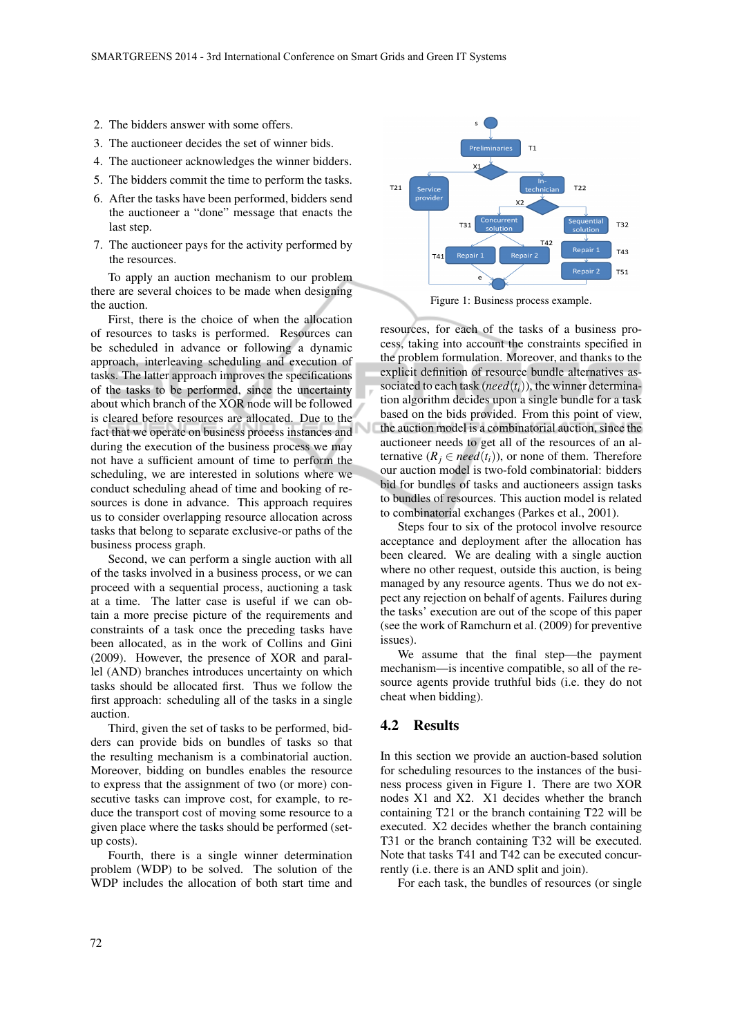- 2. The bidders answer with some offers.
- 3. The auctioneer decides the set of winner bids.
- 4. The auctioneer acknowledges the winner bidders.
- 5. The bidders commit the time to perform the tasks.
- 6. After the tasks have been performed, bidders send the auctioneer a "done" message that enacts the last step.
- 7. The auctioneer pays for the activity performed by the resources.

To apply an auction mechanism to our problem there are several choices to be made when designing the auction.

First, there is the choice of when the allocation of resources to tasks is performed. Resources can be scheduled in advance or following a dynamic approach, interleaving scheduling and execution of tasks. The latter approach improves the specifications of the tasks to be performed, since the uncertainty about which branch of the XOR node will be followed is cleared before resources are allocated. Due to the fact that we operate on business process instances and during the execution of the business process we may not have a sufficient amount of time to perform the scheduling, we are interested in solutions where we conduct scheduling ahead of time and booking of resources is done in advance. This approach requires us to consider overlapping resource allocation across tasks that belong to separate exclusive-or paths of the business process graph.

Second, we can perform a single auction with all of the tasks involved in a business process, or we can proceed with a sequential process, auctioning a task at a time. The latter case is useful if we can obtain a more precise picture of the requirements and constraints of a task once the preceding tasks have been allocated, as in the work of Collins and Gini (2009). However, the presence of XOR and parallel (AND) branches introduces uncertainty on which tasks should be allocated first. Thus we follow the first approach: scheduling all of the tasks in a single auction.

Third, given the set of tasks to be performed, bidders can provide bids on bundles of tasks so that the resulting mechanism is a combinatorial auction. Moreover, bidding on bundles enables the resource to express that the assignment of two (or more) consecutive tasks can improve cost, for example, to reduce the transport cost of moving some resource to a given place where the tasks should be performed (setup costs).

Fourth, there is a single winner determination problem (WDP) to be solved. The solution of the WDP includes the allocation of both start time and



Figure 1: Business process example.

resources, for each of the tasks of a business process, taking into account the constraints specified in the problem formulation. Moreover, and thanks to the explicit definition of resource bundle alternatives associated to each task ( $need(t_i)$ ), the winner determination algorithm decides upon a single bundle for a task based on the bids provided. From this point of view, the auction model is a combinatorial auction, since the auctioneer needs to get all of the resources of an alternative  $(R_i \in \text{need}(t_i))$ , or none of them. Therefore our auction model is two-fold combinatorial: bidders bid for bundles of tasks and auctioneers assign tasks to bundles of resources. This auction model is related to combinatorial exchanges (Parkes et al., 2001).

Steps four to six of the protocol involve resource acceptance and deployment after the allocation has been cleared. We are dealing with a single auction where no other request, outside this auction, is being managed by any resource agents. Thus we do not expect any rejection on behalf of agents. Failures during the tasks' execution are out of the scope of this paper (see the work of Ramchurn et al. (2009) for preventive issues).

We assume that the final step—the payment mechanism—is incentive compatible, so all of the resource agents provide truthful bids (i.e. they do not cheat when bidding).

### 4.2 Results

In this section we provide an auction-based solution for scheduling resources to the instances of the business process given in Figure 1. There are two XOR nodes X1 and X2. X1 decides whether the branch containing T21 or the branch containing T22 will be executed. X2 decides whether the branch containing T31 or the branch containing T32 will be executed. Note that tasks T41 and T42 can be executed concurrently (i.e. there is an AND split and join).

For each task, the bundles of resources (or single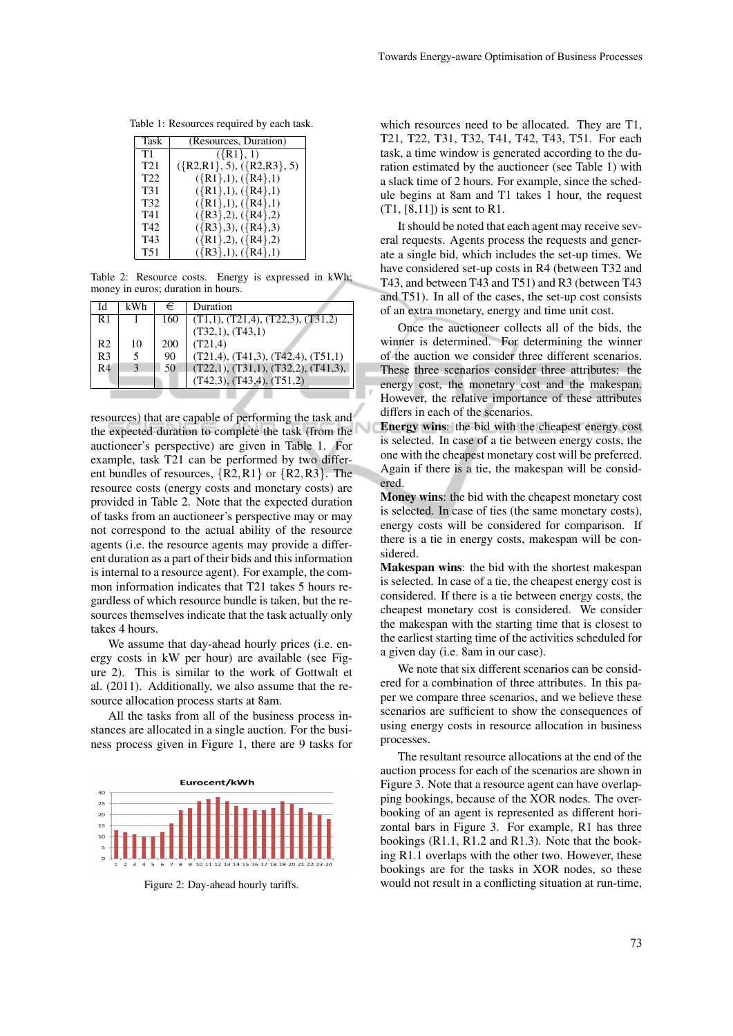Table 1: Resources required by each task.

| Task            | (Resources, Duration)        |
|-----------------|------------------------------|
| T1              | $({R1}, 1)$                  |
| T <sub>21</sub> | $({R2,R1}, 5), ({R2,R3}, 5)$ |
| T <sub>22</sub> | $({R1},1),({R4},1)$          |
| T31             | $({R1},1), ({R4},1)$         |
| T32             | $({R1},1),({R4},1)$          |
| T41             | $({R3},2), ({R4},2)$         |
| T42             | $({R3},3),({R4},3)$          |
| T43             | $({R1},2), ({R4},2)$         |
| <b>T51</b>      | $({R3},1), ({R4},1)$         |

Table 2: Resource costs. Energy is expressed in kWh; money in euros; duration in hours.

| Id             | kWh           | €   | Duration                                      |
|----------------|---------------|-----|-----------------------------------------------|
| R1             |               | 160 | $(T1,1)$ , $(T21,4)$ , $(T22,3)$ , $(T31,2)$  |
|                |               |     | (T32,1), (T43,1)                              |
| R <sub>2</sub> | 10            | 200 | (T21,4)                                       |
| R <sub>3</sub> | 5             | 90  | $(T21,4)$ , $(T41,3)$ , $(T42,4)$ , $(T51,1)$ |
| R <sub>4</sub> | $\mathcal{E}$ | 50  | (T22,1), (T31,1), (T32,2), (T41,3),           |
|                |               |     | $(T42,3)$ , $(T43,4)$ , $(T51,2)$             |
|                |               |     |                                               |

resources) that are capable of performing the task and the expected duration to complete the task (from the auctioneer's perspective) are given in Table 1. For example, task T21 can be performed by two different bundles of resources, {R2,R1} or {R2,R3}. The resource costs (energy costs and monetary costs) are provided in Table 2. Note that the expected duration of tasks from an auctioneer's perspective may or may not correspond to the actual ability of the resource agents (i.e. the resource agents may provide a different duration as a part of their bids and this information is internal to a resource agent). For example, the common information indicates that T21 takes 5 hours regardless of which resource bundle is taken, but the resources themselves indicate that the task actually only takes 4 hours.

We assume that day-ahead hourly prices (i.e. energy costs in kW per hour) are available (see Figure 2). This is similar to the work of Gottwalt et al. (2011). Additionally, we also assume that the resource allocation process starts at 8am.

All the tasks from all of the business process instances are allocated in a single auction. For the business process given in Figure 1, there are 9 tasks for



Figure 2: Day-ahead hourly tariffs.

which resources need to be allocated. They are T1, T21, T22, T31, T32, T41, T42, T43, T51. For each task, a time window is generated according to the duration estimated by the auctioneer (see Table 1) with a slack time of 2 hours. For example, since the schedule begins at 8am and T1 takes 1 hour, the request (T1, [8,11]) is sent to R1.

It should be noted that each agent may receive several requests. Agents process the requests and generate a single bid, which includes the set-up times. We have considered set-up costs in R4 (between T32 and T43, and between T43 and T51) and R3 (between T43 and T51). In all of the cases, the set-up cost consists of an extra monetary, energy and time unit cost.

Once the auctioneer collects all of the bids, the winner is determined. For determining the winner of the auction we consider three different scenarios. These three scenarios consider three attributes: the energy cost, the monetary cost and the makespan. However, the relative importance of these attributes differs in each of the scenarios.

Energy wins: the bid with the cheapest energy cost is selected. In case of a tie between energy costs, the one with the cheapest monetary cost will be preferred. Again if there is a tie, the makespan will be considered.

Money wins: the bid with the cheapest monetary cost is selected. In case of ties (the same monetary costs), energy costs will be considered for comparison. If there is a tie in energy costs, makespan will be considered.

Makespan wins: the bid with the shortest makespan is selected. In case of a tie, the cheapest energy cost is considered. If there is a tie between energy costs, the cheapest monetary cost is considered. We consider the makespan with the starting time that is closest to the earliest starting time of the activities scheduled for a given day (i.e. 8am in our case).

We note that six different scenarios can be considered for a combination of three attributes. In this paper we compare three scenarios, and we believe these scenarios are sufficient to show the consequences of using energy costs in resource allocation in business processes.

The resultant resource allocations at the end of the auction process for each of the scenarios are shown in Figure 3. Note that a resource agent can have overlapping bookings, because of the XOR nodes. The overbooking of an agent is represented as different horizontal bars in Figure 3. For example, R1 has three bookings (R1.1, R1.2 and R1.3). Note that the booking R1.1 overlaps with the other two. However, these bookings are for the tasks in XOR nodes, so these would not result in a conflicting situation at run-time,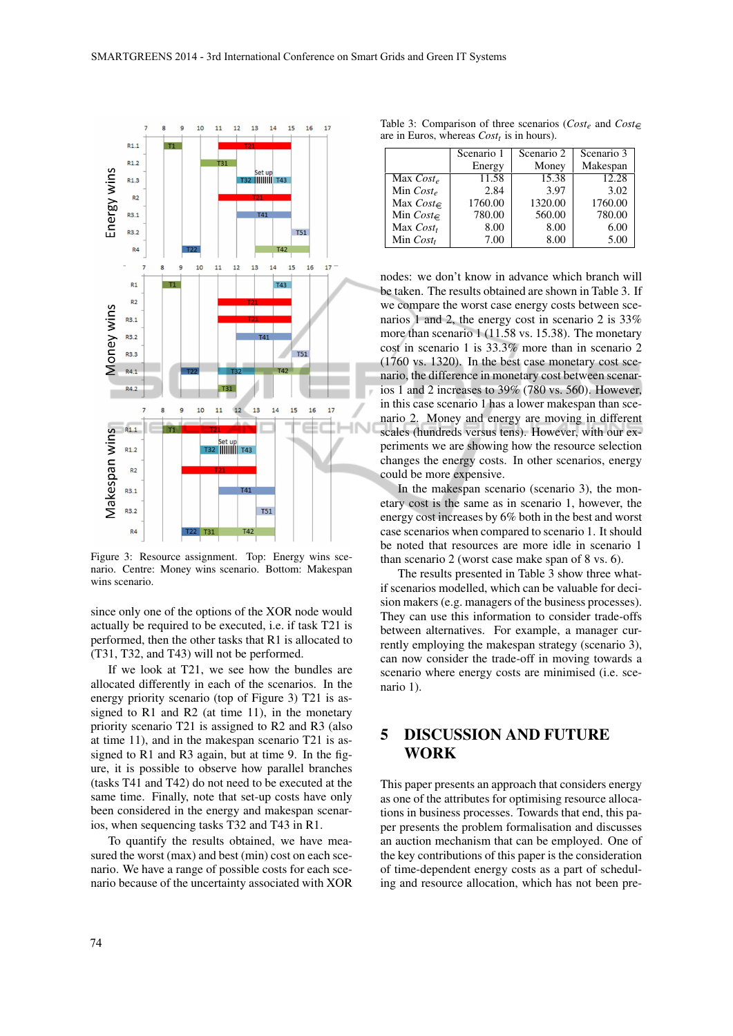

Figure 3: Resource assignment. Top: Energy wins scenario. Centre: Money wins scenario. Bottom: Makespan wins scenario.

since only one of the options of the XOR node would actually be required to be executed, i.e. if task T21 is performed, then the other tasks that R1 is allocated to (T31, T32, and T43) will not be performed.

If we look at T21, we see how the bundles are allocated differently in each of the scenarios. In the energy priority scenario (top of Figure 3) T21 is assigned to  $R1$  and  $R2$  (at time 11), in the monetary priority scenario T21 is assigned to R2 and R3 (also at time 11), and in the makespan scenario T21 is assigned to R1 and R3 again, but at time 9. In the figure, it is possible to observe how parallel branches (tasks T41 and T42) do not need to be executed at the same time. Finally, note that set-up costs have only been considered in the energy and makespan scenarios, when sequencing tasks T32 and T43 in R1.

To quantify the results obtained, we have measured the worst (max) and best (min) cost on each scenario. We have a range of possible costs for each scenario because of the uncertainty associated with XOR

Table 3: Comparison of three scenarios ( $Cost_e$  and  $Cost\in$ are in Euros, whereas *Costt* is in hours).

|                | Scenario 1 | Scenario 2 | Scenario 3 |
|----------------|------------|------------|------------|
|                | Energy     | Money      | Makespan   |
| Max $Cost_e$   | 11.58      | 15.38      | 12.28      |
| Min $Cost_e$   | 2.84       | 3.97       | 3.02       |
| Max $Cost \in$ | 1760.00    | 1320.00    | 1760.00    |
| Min Cost $\in$ | 780.00     | 560.00     | 780.00     |
| Max $Cost_t$   | 8.00       | 8.00       | 6.00       |
| Min $Cost_t$   | 7.00       | 8.00       | 5.00       |

nodes: we don't know in advance which branch will be taken. The results obtained are shown in Table 3. If we compare the worst case energy costs between scenarios 1 and 2, the energy cost in scenario 2 is 33% more than scenario 1 (11.58 vs. 15.38). The monetary cost in scenario 1 is 33.3% more than in scenario 2 (1760 vs. 1320). In the best case monetary cost scenario, the difference in monetary cost between scenarios 1 and 2 increases to 39% (780 vs. 560). However, in this case scenario 1 has a lower makespan than scenario 2. Money and energy are moving in different scales (hundreds versus tens). However, with our experiments we are showing how the resource selection changes the energy costs. In other scenarios, energy could be more expensive.

In the makespan scenario (scenario 3), the monetary cost is the same as in scenario 1, however, the energy cost increases by 6% both in the best and worst case scenarios when compared to scenario 1. It should be noted that resources are more idle in scenario 1 than scenario 2 (worst case make span of 8 vs. 6).

The results presented in Table 3 show three whatif scenarios modelled, which can be valuable for decision makers (e.g. managers of the business processes). They can use this information to consider trade-offs between alternatives. For example, a manager currently employing the makespan strategy (scenario 3), can now consider the trade-off in moving towards a scenario where energy costs are minimised (i.e. scenario 1).

# 5 DISCUSSION AND FUTURE **WORK**

This paper presents an approach that considers energy as one of the attributes for optimising resource allocations in business processes. Towards that end, this paper presents the problem formalisation and discusses an auction mechanism that can be employed. One of the key contributions of this paper is the consideration of time-dependent energy costs as a part of scheduling and resource allocation, which has not been pre